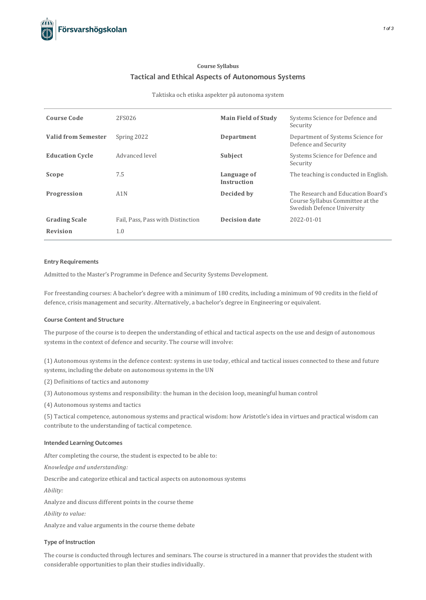# **Course Syllabus Tacticaland Ethical Aspects of Autonomous Systems**

#### Taktiska och etiska aspekter på autonoma system

| <b>Course Code</b>         | 2FS026                            | <b>Main Field of Study</b>        | Systems Science for Defence and<br>Security                                                          |
|----------------------------|-----------------------------------|-----------------------------------|------------------------------------------------------------------------------------------------------|
| <b>Valid from Semester</b> | Spring 2022                       | Department                        | Department of Systems Science for<br>Defence and Security                                            |
| <b>Education Cycle</b>     | Advanced level                    | Subject                           | Systems Science for Defence and<br>Security                                                          |
| Scope                      | 7.5                               | Language of<br><b>Instruction</b> | The teaching is conducted in English.                                                                |
| Progression                | A1N                               | Decided by                        | The Research and Education Board's<br>Course Syllabus Committee at the<br>Swedish Defence University |
| <b>Grading Scale</b>       | Fail, Pass, Pass with Distinction | <b>Decision date</b>              | 2022-01-01                                                                                           |
| <b>Revision</b>            | 1.0                               |                                   |                                                                                                      |

#### **Entry Requirements**

Admitted to the Master's Programme in Defence and Security Systems Development.

For freestanding courses: A bachelor's degree with a minimum of 180 credits, including a minimum of 90 creditsin the field of defence, crisis management and security. Alternatively, a bachelor's degree in Engineering or equivalent.

#### **Course Contentand Structure**

The purpose of the course isto deepen the understanding of ethical and tactical aspects on the use and design of autonomous systems in the context of defence and security. The course will involve:

(1) Autonomous systems in the defence context: systems in use today, ethical and tactical issues connected to these and future systems, including the debate on autonomous systems in the UN

(2) Definitions of tactics and autonomy

(3) Autonomoussystems and responsibility: the human in the decision loop, meaningful human control

(4) Autonomous systems and tactics

(5) Tactical competence, autonomous systems and practical wisdom: how Aristotle's idea in virtues and practical wisdom can contribute to the understanding of tactical competence.

# **Intended Learning Outcomes**

After completing the course, the student is expected to be able to:

*Knowledge and understanding:*

Describe and categorize ethical and tactical aspects on autonomous systems

*Ability:*

Analyze and discuss different points in the course theme

*Ability to value:*

Analyze and value arguments in the course theme debate

### **Type of Instruction**

The course is conducted through lectures and seminars. The course is structured in a manner that provides the student with considerable opportunities to plan their studies individually.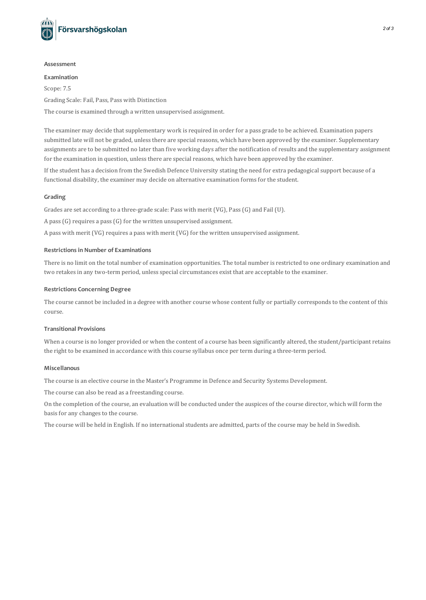

#### **Assessment**

#### **Examination**

Scope: 7.5

Grading Scale: Fail, Pass, Pass with Distinction

The course is examined through a written unsupervised assignment.

The examiner may decide that supplementary work is required in order for a pass grade to be achieved. Examination papers submitted late will not be graded, unless there are special reasons, which have been approved by the examiner. Supplementary assignments are to be submitted no later than five working days after the notification of results and the supplementary assignment for the examination in question, unless there are special reasons, which have been approved by the examiner.

If the student has a decision from the Swedish Defence University stating the need for extra pedagogicalsupport because of a functional disability, the examiner may decide on alternative examination formsfor the student.

## **Grading**

Grades are set according to a three-grade scale: Pass with merit (VG), Pass(G) and Fail (U).

A pass(G) requires a pass(G) for the written unsupervised assignment.

A pass with merit (VG) requires a pass with merit (VG) for the written unsupervised assignment.

# **Restrictionsin Number of Examinations**

There is no limit on the total number of examination opportunities. The total number is restricted to one ordinary examination and two retakes in any two-term period, unless special circumstances exist that are acceptable to the examiner.

# **Restrictions Concerning Degree**

The course cannot be included in a degree with another course whose content fully or partially corresponds to the content of this course.

## **Transitional Provisions**

When a course is no longer provided or when the content of a course has been significantly altered, the student/participant retains the right to be examined in accordance with thiscourse syllabus once per term during a three-term period.

## **Miscellanous**

The course is an elective course in the Master's Programme in Defence and Security Systems Development.

The course can also be read as a freestanding course.

On the completion of the course, an evaluation will be conducted under the auspices of the course director, which will form the basis for any changes to the course.

The course will be held in English. If no international students are admitted, parts of the course may be held in Swedish.